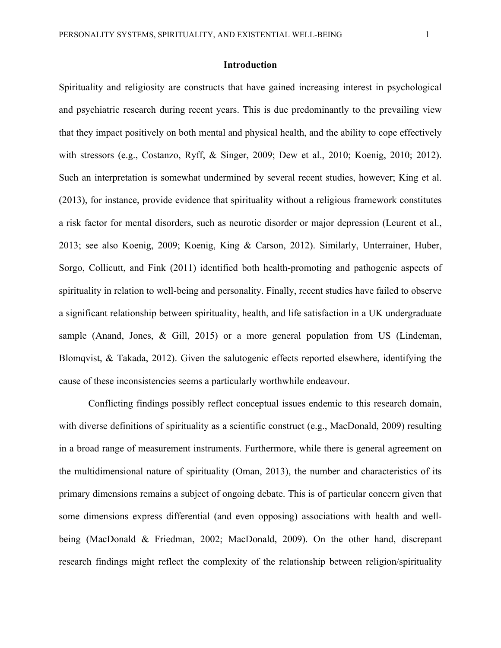#### **Introduction**

Spirituality and religiosity are constructs that have gained increasing interest in psychological and psychiatric research during recent years. This is due predominantly to the prevailing view that they impact positively on both mental and physical health, and the ability to cope effectively with stressors (e.g., Costanzo, Ryff, & Singer, 2009; Dew et al., 2010; Koenig, 2010; 2012). Such an interpretation is somewhat undermined by several recent studies, however; King et al. (2013), for instance, provide evidence that spirituality without a religious framework constitutes a risk factor for mental disorders, such as neurotic disorder or major depression (Leurent et al., 2013; see also Koenig, 2009; Koenig, King & Carson, 2012). Similarly, Unterrainer, Huber, Sorgo, Collicutt, and Fink (2011) identified both health-promoting and pathogenic aspects of spirituality in relation to well-being and personality. Finally, recent studies have failed to observe a significant relationship between spirituality, health, and life satisfaction in a UK undergraduate sample (Anand, Jones, & Gill, 2015) or a more general population from US (Lindeman, Blomqvist, & Takada, 2012). Given the salutogenic effects reported elsewhere, identifying the cause of these inconsistencies seems a particularly worthwhile endeavour.

Conflicting findings possibly reflect conceptual issues endemic to this research domain, with diverse definitions of spirituality as a scientific construct (e.g., MacDonald, 2009) resulting in a broad range of measurement instruments. Furthermore, while there is general agreement on the multidimensional nature of spirituality (Oman, 2013), the number and characteristics of its primary dimensions remains a subject of ongoing debate. This is of particular concern given that some dimensions express differential (and even opposing) associations with health and wellbeing (MacDonald & Friedman, 2002; MacDonald, 2009). On the other hand, discrepant research findings might reflect the complexity of the relationship between religion/spirituality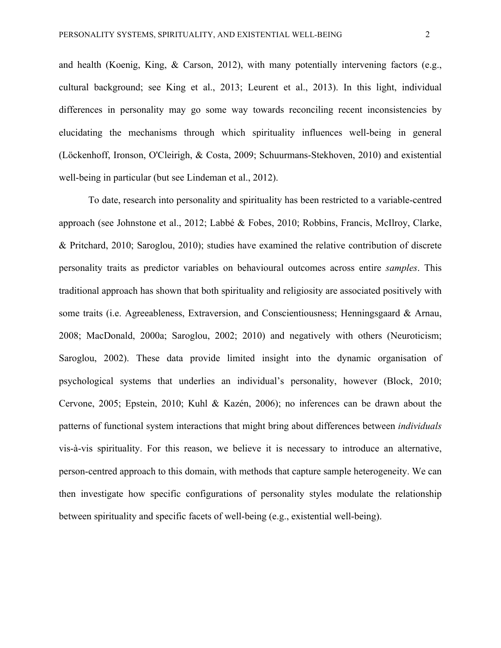and health (Koenig, King, & Carson, 2012), with many potentially intervening factors (e.g., cultural background; see King et al., 2013; Leurent et al., 2013). In this light, individual differences in personality may go some way towards reconciling recent inconsistencies by elucidating the mechanisms through which spirituality influences well-being in general (Löckenhoff, Ironson, O'Cleirigh, & Costa, 2009; Schuurmans-Stekhoven, 2010) and existential well-being in particular (but see Lindeman et al., 2012).

To date, research into personality and spirituality has been restricted to a variable-centred approach (see Johnstone et al., 2012; Labbé & Fobes, 2010; Robbins, Francis, McIlroy, Clarke, & Pritchard, 2010; Saroglou, 2010); studies have examined the relative contribution of discrete personality traits as predictor variables on behavioural outcomes across entire *samples*. This traditional approach has shown that both spirituality and religiosity are associated positively with some traits (i.e. Agreeableness, Extraversion, and Conscientiousness; Henningsgaard & Arnau, 2008; MacDonald, 2000a; Saroglou, 2002; 2010) and negatively with others (Neuroticism; Saroglou, 2002). These data provide limited insight into the dynamic organisation of psychological systems that underlies an individual's personality, however (Block, 2010; Cervone, 2005; Epstein, 2010; Kuhl & Kazén, 2006); no inferences can be drawn about the patterns of functional system interactions that might bring about differences between *individuals* vis-à-vis spirituality. For this reason, we believe it is necessary to introduce an alternative, person-centred approach to this domain, with methods that capture sample heterogeneity. We can then investigate how specific configurations of personality styles modulate the relationship between spirituality and specific facets of well-being (e.g., existential well-being).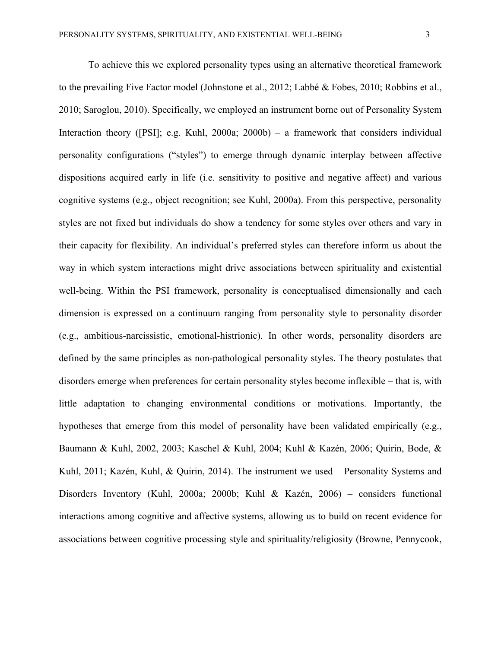To achieve this we explored personality types using an alternative theoretical framework to the prevailing Five Factor model (Johnstone et al., 2012; Labbé & Fobes, 2010; Robbins et al., 2010; Saroglou, 2010). Specifically, we employed an instrument borne out of Personality System Interaction theory ([PSI]; e.g. Kuhl, 2000a; 2000b) – a framework that considers individual personality configurations ("styles") to emerge through dynamic interplay between affective dispositions acquired early in life (i.e. sensitivity to positive and negative affect) and various cognitive systems (e.g., object recognition; see Kuhl, 2000a). From this perspective, personality styles are not fixed but individuals do show a tendency for some styles over others and vary in their capacity for flexibility. An individual's preferred styles can therefore inform us about the way in which system interactions might drive associations between spirituality and existential well-being. Within the PSI framework, personality is conceptualised dimensionally and each dimension is expressed on a continuum ranging from personality style to personality disorder (e.g., ambitious-narcissistic, emotional-histrionic). In other words, personality disorders are defined by the same principles as non-pathological personality styles. The theory postulates that disorders emerge when preferences for certain personality styles become inflexible – that is, with little adaptation to changing environmental conditions or motivations. Importantly, the hypotheses that emerge from this model of personality have been validated empirically (e.g., Baumann & Kuhl, 2002, 2003; Kaschel & Kuhl, 2004; Kuhl & Kazén, 2006; Quirin, Bode, & Kuhl, 2011; Kazén, Kuhl, & Quirin, 2014). The instrument we used – Personality Systems and Disorders Inventory (Kuhl, 2000a; 2000b; Kuhl & Kazén, 2006) – considers functional interactions among cognitive and affective systems, allowing us to build on recent evidence for associations between cognitive processing style and spirituality/religiosity (Browne, Pennycook,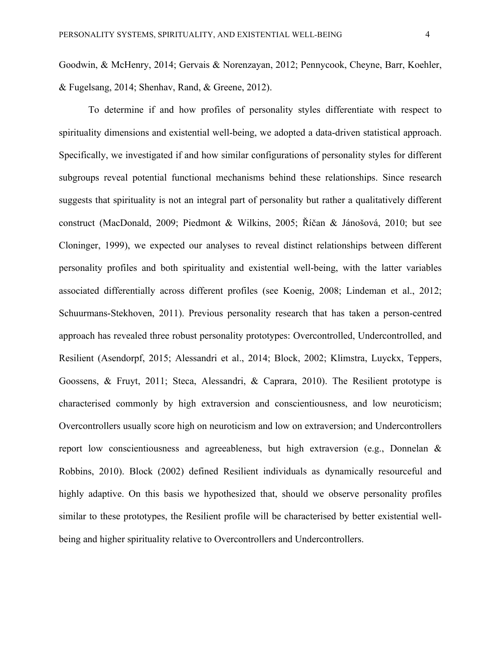Goodwin, & McHenry, 2014; Gervais & Norenzayan, 2012; Pennycook, Cheyne, Barr, Koehler, & Fugelsang, 2014; Shenhav, Rand, & Greene, 2012).

To determine if and how profiles of personality styles differentiate with respect to spirituality dimensions and existential well-being, we adopted a data-driven statistical approach. Specifically, we investigated if and how similar configurations of personality styles for different subgroups reveal potential functional mechanisms behind these relationships. Since research suggests that spirituality is not an integral part of personality but rather a qualitatively different construct (MacDonald, 2009; Piedmont & Wilkins, 2005; Říčan & Jánošová, 2010; but see Cloninger, 1999), we expected our analyses to reveal distinct relationships between different personality profiles and both spirituality and existential well-being, with the latter variables associated differentially across different profiles (see Koenig, 2008; Lindeman et al., 2012; Schuurmans-Stekhoven, 2011). Previous personality research that has taken a person-centred approach has revealed three robust personality prototypes: Overcontrolled, Undercontrolled, and Resilient (Asendorpf, 2015; Alessandri et al., 2014; Block, 2002; Klimstra, Luyckx, Teppers, Goossens, & Fruyt, 2011; Steca, Alessandri, & Caprara, 2010). The Resilient prototype is characterised commonly by high extraversion and conscientiousness, and low neuroticism; Overcontrollers usually score high on neuroticism and low on extraversion; and Undercontrollers report low conscientiousness and agreeableness, but high extraversion (e.g., Donnelan & Robbins, 2010). Block (2002) defined Resilient individuals as dynamically resourceful and highly adaptive. On this basis we hypothesized that, should we observe personality profiles similar to these prototypes, the Resilient profile will be characterised by better existential wellbeing and higher spirituality relative to Overcontrollers and Undercontrollers.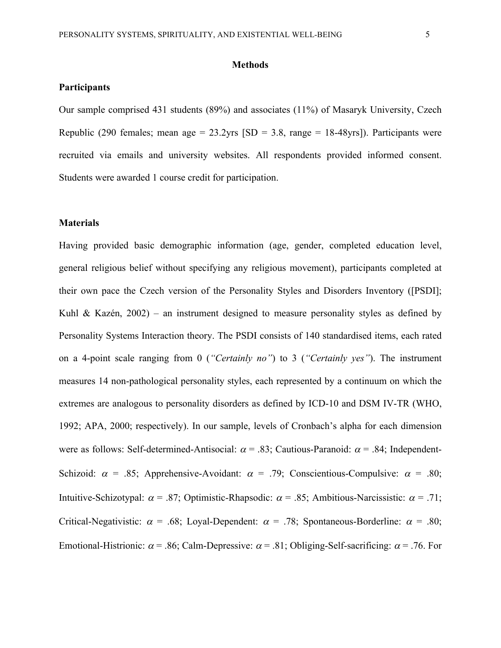#### **Methods**

#### **Participants**

Our sample comprised 431 students (89%) and associates (11%) of Masaryk University, Czech Republic (290 females; mean age =  $23.2$ yrs [SD =  $3.8$ , range =  $18-48$ yrs]). Participants were recruited via emails and university websites. All respondents provided informed consent. Students were awarded 1 course credit for participation.

#### **Materials**

Having provided basic demographic information (age, gender, completed education level, general religious belief without specifying any religious movement), participants completed at their own pace the Czech version of the Personality Styles and Disorders Inventory ([PSDI]; Kuhl & Kazén,  $2002$ ) – an instrument designed to measure personality styles as defined by Personality Systems Interaction theory. The PSDI consists of 140 standardised items, each rated on a 4-point scale ranging from 0 (*"Certainly no"*) to 3 (*"Certainly yes"*). The instrument measures 14 non-pathological personality styles, each represented by a continuum on which the extremes are analogous to personality disorders as defined by ICD-10 and DSM IV-TR (WHO, 1992; APA, 2000; respectively). In our sample, levels of Cronbach's alpha for each dimension were as follows: Self-determined-Antisocial:  $\alpha$  = .83; Cautious-Paranoid:  $\alpha$  = .84; Independent-Schizoid:  $\alpha$  = .85; Apprehensive-Avoidant:  $\alpha$  = .79; Conscientious-Compulsive:  $\alpha$  = .80; Intuitive-Schizotypal:  $\alpha$  = .87; Optimistic-Rhapsodic:  $\alpha$  = .85; Ambitious-Narcissistic:  $\alpha$  = .71; Critical-Negativistic:  $\alpha$  = .68; Loyal-Dependent:  $\alpha$  = .78; Spontaneous-Borderline:  $\alpha$  = .80; Emotional-Histrionic:  $\alpha$  = .86; Calm-Depressive:  $\alpha$  = .81; Obliging-Self-sacrificing:  $\alpha$  = .76. For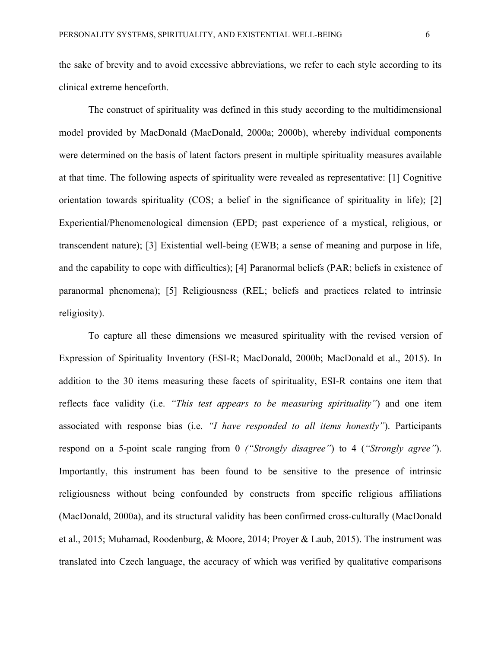the sake of brevity and to avoid excessive abbreviations, we refer to each style according to its clinical extreme henceforth.

The construct of spirituality was defined in this study according to the multidimensional model provided by MacDonald (MacDonald, 2000a; 2000b), whereby individual components were determined on the basis of latent factors present in multiple spirituality measures available at that time. The following aspects of spirituality were revealed as representative: [1] Cognitive orientation towards spirituality (COS; a belief in the significance of spirituality in life); [2] Experiential/Phenomenological dimension (EPD; past experience of a mystical, religious, or transcendent nature); [3] Existential well-being (EWB; a sense of meaning and purpose in life, and the capability to cope with difficulties); [4] Paranormal beliefs (PAR; beliefs in existence of paranormal phenomena); [5] Religiousness (REL; beliefs and practices related to intrinsic religiosity).

To capture all these dimensions we measured spirituality with the revised version of Expression of Spirituality Inventory (ESI-R; MacDonald, 2000b; MacDonald et al., 2015). In addition to the 30 items measuring these facets of spirituality, ESI-R contains one item that reflects face validity (i.e. *"This test appears to be measuring spirituality"*) and one item associated with response bias (i.e. *"I have responded to all items honestly"*). Participants respond on a 5-point scale ranging from 0 *("Strongly disagree"*) to 4 (*"Strongly agree"*). Importantly, this instrument has been found to be sensitive to the presence of intrinsic religiousness without being confounded by constructs from specific religious affiliations (MacDonald, 2000a), and its structural validity has been confirmed cross-culturally (MacDonald et al., 2015; Muhamad, Roodenburg, & Moore, 2014; Proyer & Laub, 2015). The instrument was translated into Czech language, the accuracy of which was verified by qualitative comparisons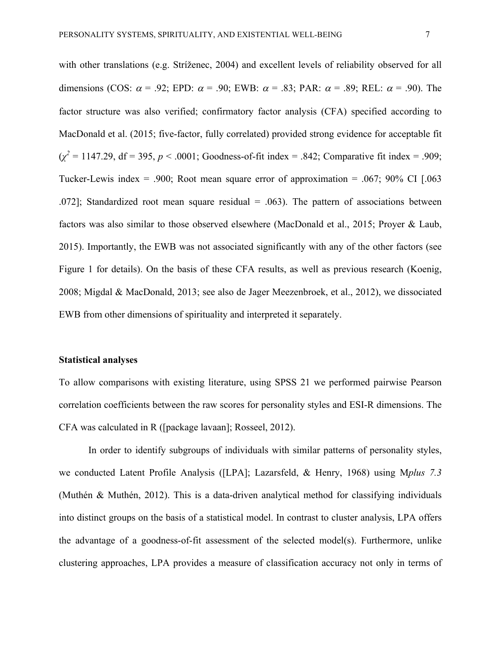with other translations (e.g. Stríženec, 2004) and excellent levels of reliability observed for all dimensions (COS:  $\alpha$  = .92; EPD:  $\alpha$  = .90; EWB:  $\alpha$  = .83; PAR:  $\alpha$  = .89; REL:  $\alpha$  = .90). The factor structure was also verified; confirmatory factor analysis (CFA) specified according to MacDonald et al. (2015; five-factor, fully correlated) provided strong evidence for acceptable fit  $(\chi^2 = 1147.29, df = 395, p < .0001; Goodness-of-fit index = .842; Comparative fit index = .909;$ Tucker-Lewis index = .900; Root mean square error of approximation = .067; 90% CI  $[0.063]$ .072]; Standardized root mean square residual  $= .063$ ). The pattern of associations between factors was also similar to those observed elsewhere (MacDonald et al., 2015; Proyer & Laub, 2015). Importantly, the EWB was not associated significantly with any of the other factors (see Figure 1 for details). On the basis of these CFA results, as well as previous research (Koenig, 2008; Migdal & MacDonald, 2013; see also de Jager Meezenbroek, et al., 2012), we dissociated EWB from other dimensions of spirituality and interpreted it separately.

#### **Statistical analyses**

To allow comparisons with existing literature, using SPSS 21 we performed pairwise Pearson correlation coefficients between the raw scores for personality styles and ESI-R dimensions. The CFA was calculated in R ([package lavaan]; Rosseel, 2012).

In order to identify subgroups of individuals with similar patterns of personality styles, we conducted Latent Profile Analysis ([LPA]; Lazarsfeld, & Henry, 1968) using M*plus 7.3* (Muthén & Muthén, 2012). This is a data-driven analytical method for classifying individuals into distinct groups on the basis of a statistical model. In contrast to cluster analysis, LPA offers the advantage of a goodness-of-fit assessment of the selected model(s). Furthermore, unlike clustering approaches, LPA provides a measure of classification accuracy not only in terms of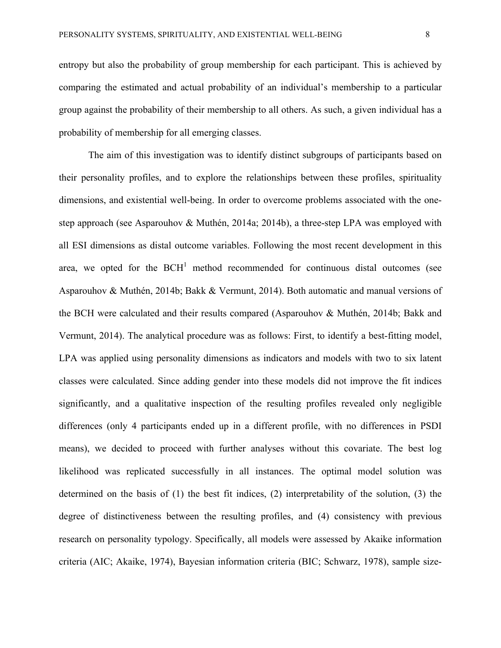entropy but also the probability of group membership for each participant. This is achieved by comparing the estimated and actual probability of an individual's membership to a particular group against the probability of their membership to all others. As such, a given individual has a probability of membership for all emerging classes.

The aim of this investigation was to identify distinct subgroups of participants based on their personality profiles, and to explore the relationships between these profiles, spirituality dimensions, and existential well-being. In order to overcome problems associated with the onestep approach (see Asparouhov & Muthén, 2014a; 2014b), a three-step LPA was employed with all ESI dimensions as distal outcome variables. Following the most recent development in this area, we opted for the  $BCH<sup>1</sup>$  method recommended for continuous distal outcomes (see Asparouhov & Muthén, 2014b; Bakk & Vermunt, 2014). Both automatic and manual versions of the BCH were calculated and their results compared (Asparouhov & Muthén, 2014b; Bakk and Vermunt, 2014). The analytical procedure was as follows: First, to identify a best-fitting model, LPA was applied using personality dimensions as indicators and models with two to six latent classes were calculated. Since adding gender into these models did not improve the fit indices significantly, and a qualitative inspection of the resulting profiles revealed only negligible differences (only 4 participants ended up in a different profile, with no differences in PSDI means), we decided to proceed with further analyses without this covariate. The best log likelihood was replicated successfully in all instances. The optimal model solution was determined on the basis of (1) the best fit indices, (2) interpretability of the solution, (3) the degree of distinctiveness between the resulting profiles, and (4) consistency with previous research on personality typology. Specifically, all models were assessed by Akaike information criteria (AIC; Akaike, 1974), Bayesian information criteria (BIC; Schwarz, 1978), sample size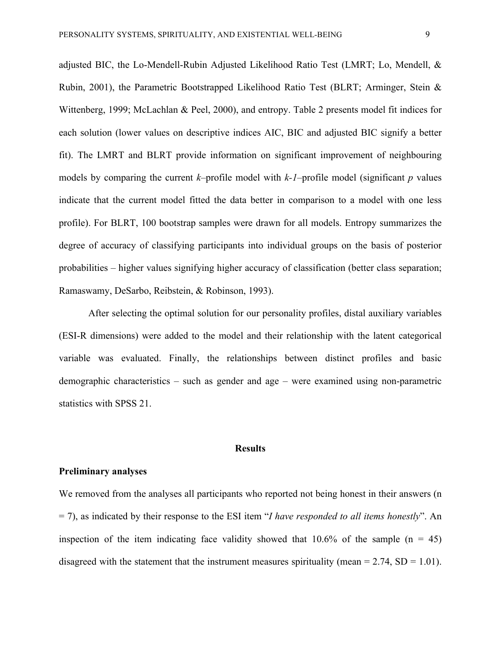adjusted BIC, the Lo-Mendell-Rubin Adjusted Likelihood Ratio Test (LMRT; Lo, Mendell, & Rubin, 2001), the Parametric Bootstrapped Likelihood Ratio Test (BLRT; Arminger, Stein & Wittenberg, 1999; McLachlan & Peel, 2000), and entropy. Table 2 presents model fit indices for each solution (lower values on descriptive indices AIC, BIC and adjusted BIC signify a better fit). The LMRT and BLRT provide information on significant improvement of neighbouring models by comparing the current *k*–profile model with *k-1*–profile model (significant *p* values indicate that the current model fitted the data better in comparison to a model with one less profile). For BLRT, 100 bootstrap samples were drawn for all models. Entropy summarizes the degree of accuracy of classifying participants into individual groups on the basis of posterior probabilities – higher values signifying higher accuracy of classification (better class separation; Ramaswamy, DeSarbo, Reibstein, & Robinson, 1993).

After selecting the optimal solution for our personality profiles, distal auxiliary variables (ESI-R dimensions) were added to the model and their relationship with the latent categorical variable was evaluated. Finally, the relationships between distinct profiles and basic demographic characteristics – such as gender and age – were examined using non-parametric statistics with SPSS 21.

#### **Results**

#### **Preliminary analyses**

We removed from the analyses all participants who reported not being honest in their answers (n = 7), as indicated by their response to the ESI item "*I have responded to all items honestly*". An inspection of the item indicating face validity showed that  $10.6\%$  of the sample (n = 45) disagreed with the statement that the instrument measures spirituality (mean  $= 2.74$ , SD  $= 1.01$ ).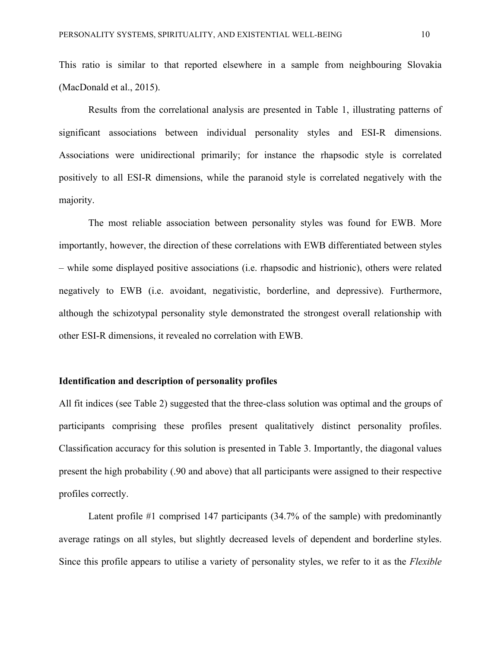This ratio is similar to that reported elsewhere in a sample from neighbouring Slovakia (MacDonald et al., 2015).

Results from the correlational analysis are presented in Table 1, illustrating patterns of significant associations between individual personality styles and ESI-R dimensions. Associations were unidirectional primarily; for instance the rhapsodic style is correlated positively to all ESI-R dimensions, while the paranoid style is correlated negatively with the majority.

The most reliable association between personality styles was found for EWB. More importantly, however, the direction of these correlations with EWB differentiated between styles – while some displayed positive associations (i.e. rhapsodic and histrionic), others were related negatively to EWB (i.e. avoidant, negativistic, borderline, and depressive). Furthermore, although the schizotypal personality style demonstrated the strongest overall relationship with other ESI-R dimensions, it revealed no correlation with EWB.

#### **Identification and description of personality profiles**

All fit indices (see Table 2) suggested that the three-class solution was optimal and the groups of participants comprising these profiles present qualitatively distinct personality profiles. Classification accuracy for this solution is presented in Table 3. Importantly, the diagonal values present the high probability (.90 and above) that all participants were assigned to their respective profiles correctly.

Latent profile #1 comprised 147 participants (34.7% of the sample) with predominantly average ratings on all styles, but slightly decreased levels of dependent and borderline styles. Since this profile appears to utilise a variety of personality styles, we refer to it as the *Flexible*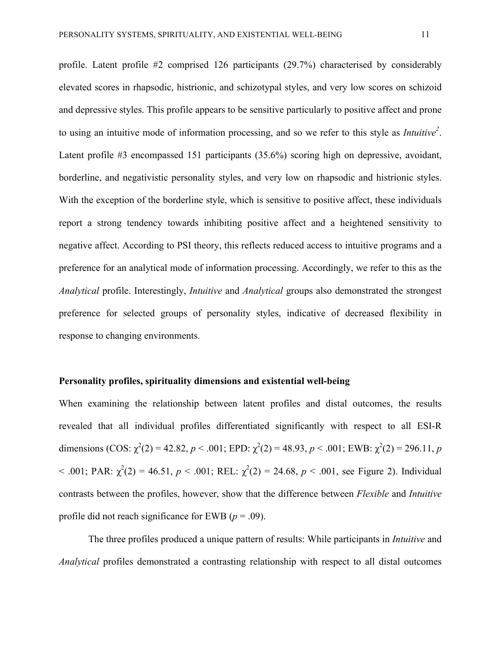profile. Latent profile #2 comprised 126 participants (29.7%) characterised by considerably elevated scores in rhapsodic, histrionic, and schizotypal styles, and very low scores on schizoid and depressive styles. This profile appears to be sensitive particularly to positive affect and prone to using an intuitive mode of information processing, and so we refer to this style as *Intuitive<sup>2</sup>* . Latent profile #3 encompassed 151 participants (35.6%) scoring high on depressive, avoidant, borderline, and negativistic personality styles, and very low on rhapsodic and histrionic styles. With the exception of the borderline style, which is sensitive to positive affect, these individuals report a strong tendency towards inhibiting positive affect and a heightened sensitivity to negative affect. According to PSI theory, this reflects reduced access to intuitive programs and a preference for an analytical mode of information processing. Accordingly, we refer to this as the *Analytical* profile. Interestingly, *Intuitive* and *Analytical* groups also demonstrated the strongest preference for selected groups of personality styles, indicative of decreased flexibility in response to changing environments.

#### **Personality profiles, spirituality dimensions and existential well-being**

When examining the relationship between latent profiles and distal outcomes, the results revealed that all individual profiles differentiated significantly with respect to all ESI-R dimensions (COS:  $\chi^2(2) = 42.82$ ,  $p < .001$ ; EPD:  $\chi^2(2) = 48.93$ ,  $p < .001$ ; EWB:  $\chi^2(2) = 296.11$ ,  $p$ < .001; PAR:  $\chi^2(2) = 46.51$ ,  $p < .001$ ; REL:  $\chi^2(2) = 24.68$ ,  $p < .001$ , see Figure 2). Individual contrasts between the profiles, however, show that the difference between *Flexible* and *Intuitive* profile did not reach significance for EWB ( $p = .09$ ).

The three profiles produced a unique pattern of results: While participants in *Intuitive* and *Analytical* profiles demonstrated a contrasting relationship with respect to all distal outcomes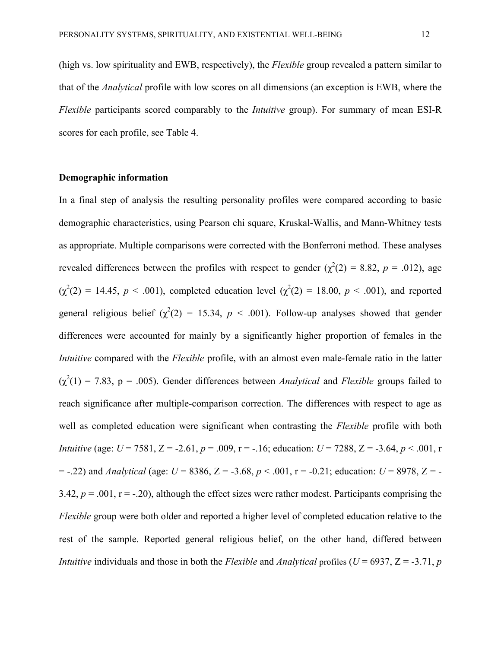(high vs. low spirituality and EWB, respectively), the *Flexible* group revealed a pattern similar to that of the *Analytical* profile with low scores on all dimensions (an exception is EWB, where the *Flexible* participants scored comparably to the *Intuitive* group). For summary of mean ESI-R scores for each profile, see Table 4.

#### **Demographic information**

In a final step of analysis the resulting personality profiles were compared according to basic demographic characteristics, using Pearson chi square, Kruskal-Wallis, and Mann-Whitney tests as appropriate. Multiple comparisons were corrected with the Bonferroni method. These analyses revealed differences between the profiles with respect to gender  $(\chi^2(2) = 8.82, p = .012)$ , age  $(\chi^2(2) = 14.45, p < .001)$ , completed education level  $(\chi^2(2) = 18.00, p < .001)$ , and reported general religious belief  $(\chi^2(2) = 15.34, p < .001)$ . Follow-up analyses showed that gender differences were accounted for mainly by a significantly higher proportion of females in the *Intuitive* compared with the *Flexible* profile, with an almost even male-female ratio in the latter  $(\chi^2(1) = 7.83, p = .005)$ . Gender differences between *Analytical* and *Flexible* groups failed to reach significance after multiple-comparison correction. The differences with respect to age as well as completed education were significant when contrasting the *Flexible* profile with both *Intuitive* (age: *U* = 7581, Z = -2.61, *p* = .009, r = -.16; education: *U* = 7288, Z = -3.64, *p* < .001, r  $=$  -.22) and *Analytical* (age:  $U = 8386$ ,  $Z = -3.68$ ,  $p < .001$ ,  $r = -0.21$ ; education:  $U = 8978$ ,  $Z = -0.21$ ; 3.42,  $p = .001$ ,  $r = -.20$ ), although the effect sizes were rather modest. Participants comprising the *Flexible* group were both older and reported a higher level of completed education relative to the rest of the sample. Reported general religious belief, on the other hand, differed between *Intuitive* individuals and those in both the *Flexible* and *Analytical* profiles ( $U = 6937$ ,  $Z = -3.71$ , *p*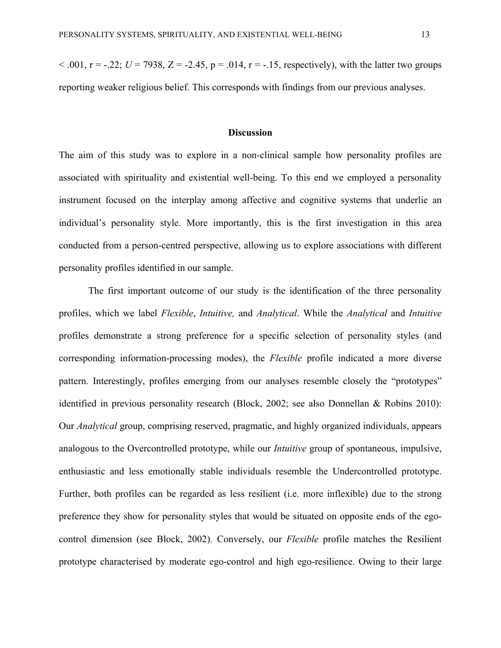$< .001$ ,  $r = -.22$ ;  $U = 7938$ ,  $Z = -2.45$ ,  $p = .014$ ,  $r = -.15$ , respectively), with the latter two groups reporting weaker religious belief. This corresponds with findings from our previous analyses.

#### **Discussion**

The aim of this study was to explore in a non-clinical sample how personality profiles are associated with spirituality and existential well-being. To this end we employed a personality instrument focused on the interplay among affective and cognitive systems that underlie an individual's personality style. More importantly, this is the first investigation in this area conducted from a person-centred perspective, allowing us to explore associations with different personality profiles identified in our sample.

The first important outcome of our study is the identification of the three personality profiles, which we label *Flexible*, *Intuitive,* and *Analytical*. While the *Analytical* and *Intuitive* profiles demonstrate a strong preference for a specific selection of personality styles (and corresponding information-processing modes), the *Flexible* profile indicated a more diverse pattern. Interestingly, profiles emerging from our analyses resemble closely the "prototypes" identified in previous personality research (Block, 2002; see also Donnellan & Robins 2010): Our *Analytical* group, comprising reserved, pragmatic, and highly organized individuals, appears analogous to the Overcontrolled prototype, while our *Intuitive* group of spontaneous, impulsive, enthusiastic and less emotionally stable individuals resemble the Undercontrolled prototype. Further, both profiles can be regarded as less resilient (i.e. more inflexible) due to the strong preference they show for personality styles that would be situated on opposite ends of the egocontrol dimension (see Block, 2002). Conversely, our *Flexible* profile matches the Resilient prototype characterised by moderate ego-control and high ego-resilience. Owing to their large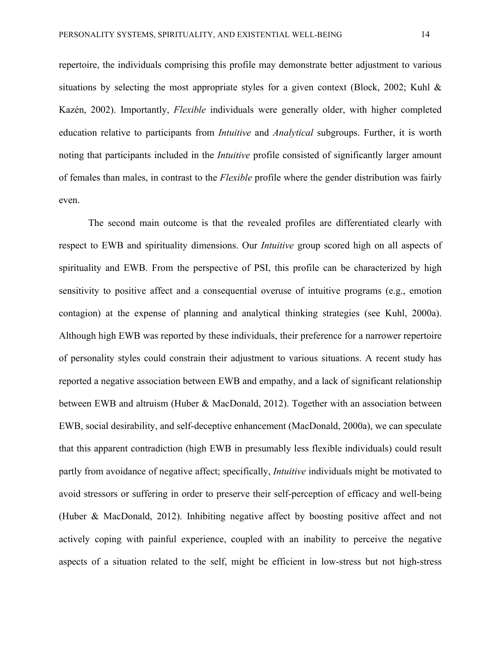repertoire, the individuals comprising this profile may demonstrate better adjustment to various situations by selecting the most appropriate styles for a given context (Block, 2002; Kuhl  $\&$ Kazén, 2002). Importantly, *Flexible* individuals were generally older, with higher completed education relative to participants from *Intuitive* and *Analytical* subgroups. Further, it is worth noting that participants included in the *Intuitive* profile consisted of significantly larger amount of females than males, in contrast to the *Flexible* profile where the gender distribution was fairly even.

The second main outcome is that the revealed profiles are differentiated clearly with respect to EWB and spirituality dimensions. Our *Intuitive* group scored high on all aspects of spirituality and EWB. From the perspective of PSI, this profile can be characterized by high sensitivity to positive affect and a consequential overuse of intuitive programs (e.g., emotion contagion) at the expense of planning and analytical thinking strategies (see Kuhl, 2000a). Although high EWB was reported by these individuals, their preference for a narrower repertoire of personality styles could constrain their adjustment to various situations. A recent study has reported a negative association between EWB and empathy, and a lack of significant relationship between EWB and altruism (Huber & MacDonald, 2012). Together with an association between EWB, social desirability, and self-deceptive enhancement (MacDonald, 2000a), we can speculate that this apparent contradiction (high EWB in presumably less flexible individuals) could result partly from avoidance of negative affect; specifically, *Intuitive* individuals might be motivated to avoid stressors or suffering in order to preserve their self-perception of efficacy and well-being (Huber & MacDonald, 2012). Inhibiting negative affect by boosting positive affect and not actively coping with painful experience, coupled with an inability to perceive the negative aspects of a situation related to the self, might be efficient in low-stress but not high-stress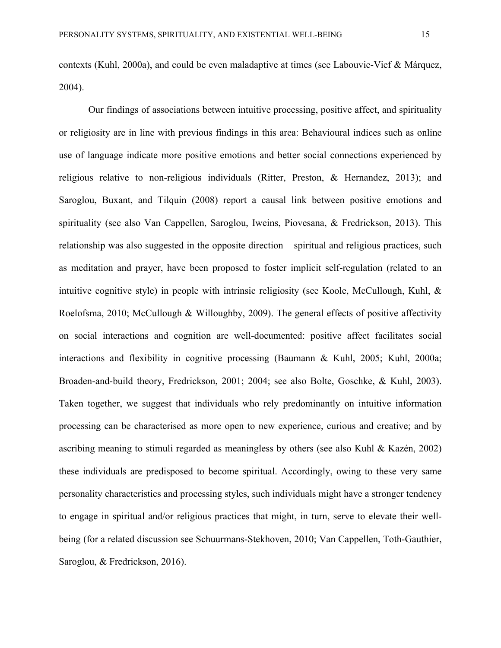contexts (Kuhl, 2000a), and could be even maladaptive at times (see Labouvie-Vief & Márquez, 2004).

Our findings of associations between intuitive processing, positive affect, and spirituality or religiosity are in line with previous findings in this area: Behavioural indices such as online use of language indicate more positive emotions and better social connections experienced by religious relative to non-religious individuals (Ritter, Preston, & Hernandez, 2013); and Saroglou, Buxant, and Tilquin (2008) report a causal link between positive emotions and spirituality (see also Van Cappellen, Saroglou, Iweins, Piovesana, & Fredrickson, 2013). This relationship was also suggested in the opposite direction – spiritual and religious practices, such as meditation and prayer, have been proposed to foster implicit self-regulation (related to an intuitive cognitive style) in people with intrinsic religiosity (see Koole, McCullough, Kuhl, & Roelofsma, 2010; McCullough & Willoughby, 2009). The general effects of positive affectivity on social interactions and cognition are well-documented: positive affect facilitates social interactions and flexibility in cognitive processing (Baumann & Kuhl, 2005; Kuhl, 2000a; Broaden-and-build theory, Fredrickson, 2001; 2004; see also Bolte, Goschke, & Kuhl, 2003). Taken together, we suggest that individuals who rely predominantly on intuitive information processing can be characterised as more open to new experience, curious and creative; and by ascribing meaning to stimuli regarded as meaningless by others (see also Kuhl & Kazén, 2002) these individuals are predisposed to become spiritual. Accordingly, owing to these very same personality characteristics and processing styles, such individuals might have a stronger tendency to engage in spiritual and/or religious practices that might, in turn, serve to elevate their wellbeing (for a related discussion see Schuurmans-Stekhoven, 2010; Van Cappellen, Toth-Gauthier, Saroglou, & Fredrickson, 2016).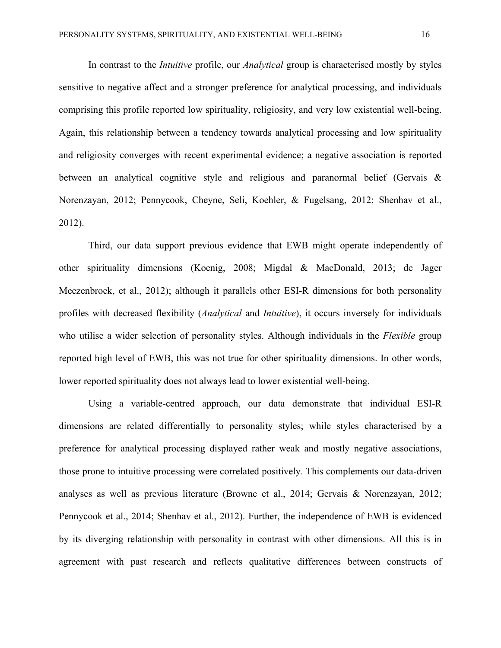In contrast to the *Intuitive* profile, our *Analytical* group is characterised mostly by styles sensitive to negative affect and a stronger preference for analytical processing, and individuals comprising this profile reported low spirituality, religiosity, and very low existential well-being. Again, this relationship between a tendency towards analytical processing and low spirituality and religiosity converges with recent experimental evidence; a negative association is reported between an analytical cognitive style and religious and paranormal belief (Gervais & Norenzayan, 2012; Pennycook, Cheyne, Seli, Koehler, & Fugelsang, 2012; Shenhav et al., 2012).

Third, our data support previous evidence that EWB might operate independently of other spirituality dimensions (Koenig, 2008; Migdal & MacDonald, 2013; de Jager Meezenbroek, et al., 2012); although it parallels other ESI-R dimensions for both personality profiles with decreased flexibility (*Analytical* and *Intuitive*), it occurs inversely for individuals who utilise a wider selection of personality styles. Although individuals in the *Flexible* group reported high level of EWB, this was not true for other spirituality dimensions. In other words, lower reported spirituality does not always lead to lower existential well-being.

Using a variable-centred approach, our data demonstrate that individual ESI-R dimensions are related differentially to personality styles; while styles characterised by a preference for analytical processing displayed rather weak and mostly negative associations, those prone to intuitive processing were correlated positively. This complements our data-driven analyses as well as previous literature (Browne et al., 2014; Gervais & Norenzayan, 2012; Pennycook et al., 2014; Shenhav et al., 2012). Further, the independence of EWB is evidenced by its diverging relationship with personality in contrast with other dimensions. All this is in agreement with past research and reflects qualitative differences between constructs of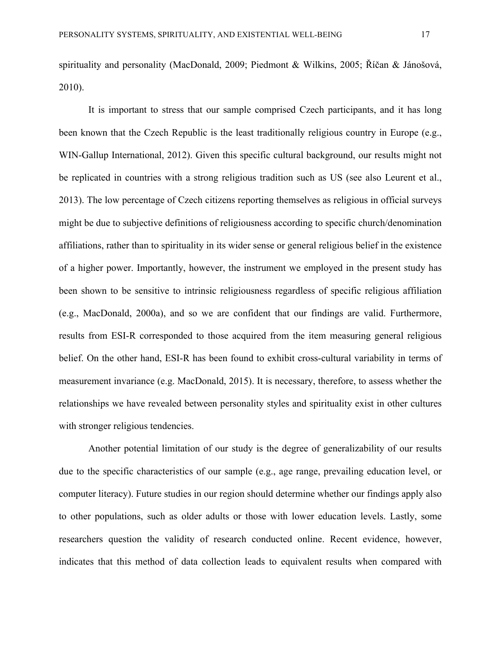spirituality and personality (MacDonald, 2009; Piedmont & Wilkins, 2005; Říčan & Jánošová, 2010).

It is important to stress that our sample comprised Czech participants, and it has long been known that the Czech Republic is the least traditionally religious country in Europe (e.g., WIN-Gallup International, 2012). Given this specific cultural background, our results might not be replicated in countries with a strong religious tradition such as US (see also Leurent et al., 2013). The low percentage of Czech citizens reporting themselves as religious in official surveys might be due to subjective definitions of religiousness according to specific church/denomination affiliations, rather than to spirituality in its wider sense or general religious belief in the existence of a higher power. Importantly, however, the instrument we employed in the present study has been shown to be sensitive to intrinsic religiousness regardless of specific religious affiliation (e.g., MacDonald, 2000a), and so we are confident that our findings are valid. Furthermore, results from ESI-R corresponded to those acquired from the item measuring general religious belief. On the other hand, ESI-R has been found to exhibit cross-cultural variability in terms of measurement invariance (e.g. MacDonald, 2015). It is necessary, therefore, to assess whether the relationships we have revealed between personality styles and spirituality exist in other cultures with stronger religious tendencies.

Another potential limitation of our study is the degree of generalizability of our results due to the specific characteristics of our sample (e.g., age range, prevailing education level, or computer literacy). Future studies in our region should determine whether our findings apply also to other populations, such as older adults or those with lower education levels. Lastly, some researchers question the validity of research conducted online. Recent evidence, however, indicates that this method of data collection leads to equivalent results when compared with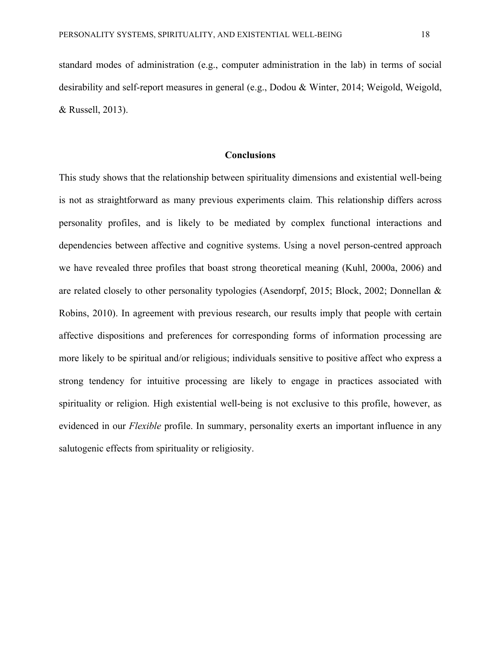standard modes of administration (e.g., computer administration in the lab) in terms of social desirability and self-report measures in general (e.g., Dodou & Winter, 2014; Weigold, Weigold, & Russell, 2013).

#### **Conclusions**

This study shows that the relationship between spirituality dimensions and existential well-being is not as straightforward as many previous experiments claim. This relationship differs across personality profiles, and is likely to be mediated by complex functional interactions and dependencies between affective and cognitive systems. Using a novel person-centred approach we have revealed three profiles that boast strong theoretical meaning (Kuhl, 2000a, 2006) and are related closely to other personality typologies (Asendorpf, 2015; Block, 2002; Donnellan & Robins, 2010). In agreement with previous research, our results imply that people with certain affective dispositions and preferences for corresponding forms of information processing are more likely to be spiritual and/or religious; individuals sensitive to positive affect who express a strong tendency for intuitive processing are likely to engage in practices associated with spirituality or religion. High existential well-being is not exclusive to this profile, however, as evidenced in our *Flexible* profile. In summary, personality exerts an important influence in any salutogenic effects from spirituality or religiosity.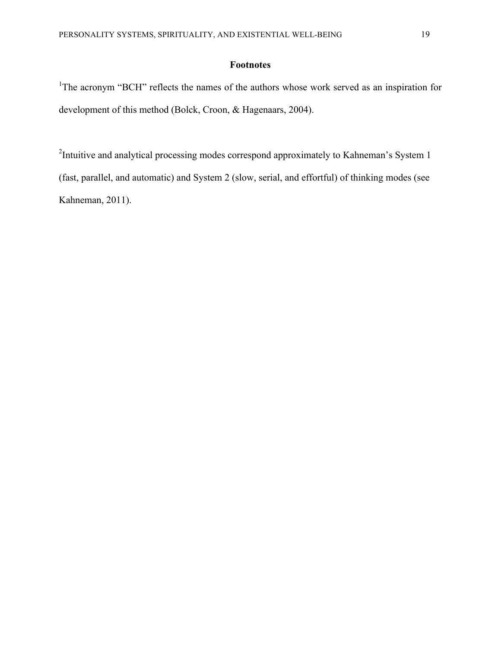## **Footnotes**

<sup>1</sup>The acronym "BCH" reflects the names of the authors whose work served as an inspiration for development of this method (Bolck, Croon, & Hagenaars, 2004).

<sup>2</sup>Intuitive and analytical processing modes correspond approximately to Kahneman's System 1 (fast, parallel, and automatic) and System 2 (slow, serial, and effortful) of thinking modes (see Kahneman, 2011).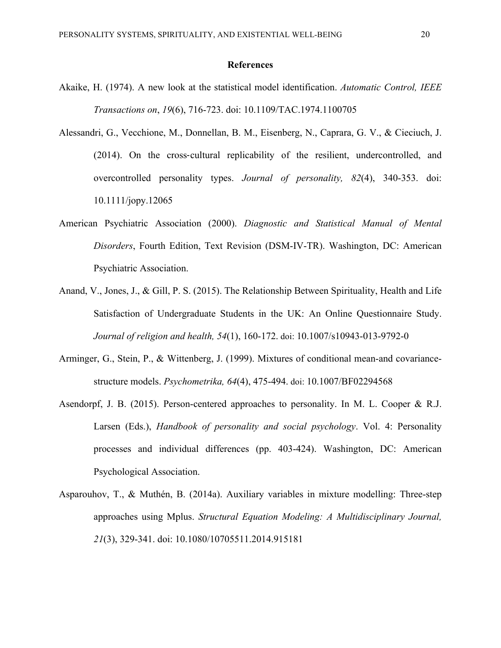#### **References**

- Akaike, H. (1974). A new look at the statistical model identification. *Automatic Control, IEEE Transactions on*, *19*(6), 716-723. doi: 10.1109/TAC.1974.1100705
- Alessandri, G., Vecchione, M., Donnellan, B. M., Eisenberg, N., Caprara, G. V., & Cieciuch, J. (2014). On the cross-cultural replicability of the resilient, undercontrolled, and overcontrolled personality types. *Journal of personality, 82*(4), 340-353. doi: 10.1111/jopy.12065
- American Psychiatric Association (2000). *Diagnostic and Statistical Manual of Mental Disorders*, Fourth Edition, Text Revision (DSM-IV-TR). Washington, DC: American Psychiatric Association.
- Anand, V., Jones, J., & Gill, P. S. (2015). The Relationship Between Spirituality, Health and Life Satisfaction of Undergraduate Students in the UK: An Online Questionnaire Study. *Journal of religion and health, 54*(1), 160-172. doi: 10.1007/s10943-013-9792-0
- Arminger, G., Stein, P., & Wittenberg, J. (1999). Mixtures of conditional mean-and covariancestructure models. *Psychometrika, 64*(4), 475-494. doi: 10.1007/BF02294568
- Asendorpf, J. B. (2015). Person-centered approaches to personality. In M. L. Cooper & R.J. Larsen (Eds.), *Handbook of personality and social psychology*. Vol. 4: Personality processes and individual differences (pp. 403-424). Washington, DC: American Psychological Association.
- Asparouhov, T., & Muthén, B. (2014a). Auxiliary variables in mixture modelling: Three-step approaches using Mplus. *Structural Equation Modeling: A Multidisciplinary Journal, 21*(3), 329-341. doi: 10.1080/10705511.2014.915181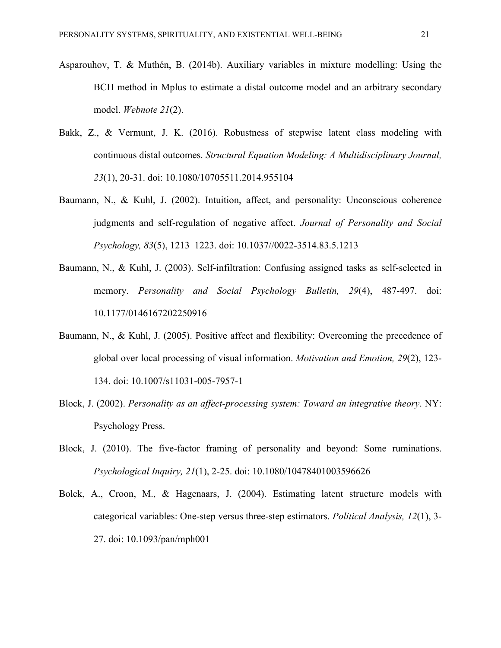- Asparouhov, T. & Muthén, B. (2014b). Auxiliary variables in mixture modelling: Using the BCH method in Mplus to estimate a distal outcome model and an arbitrary secondary model. *Webnote 21*(2).
- Bakk, Z., & Vermunt, J. K. (2016). Robustness of stepwise latent class modeling with continuous distal outcomes. *Structural Equation Modeling: A Multidisciplinary Journal, 23*(1), 20-31. doi: 10.1080/10705511.2014.955104
- Baumann, N., & Kuhl, J. (2002). Intuition, affect, and personality: Unconscious coherence judgments and self-regulation of negative affect. *Journal of Personality and Social Psychology, 83*(5), 1213–1223. doi: 10.1037//0022-3514.83.5.1213
- Baumann, N., & Kuhl, J. (2003). Self-infiltration: Confusing assigned tasks as self-selected in memory. *Personality and Social Psychology Bulletin, 29*(4), 487-497. doi: 10.1177/0146167202250916
- Baumann, N., & Kuhl, J. (2005). Positive affect and flexibility: Overcoming the precedence of global over local processing of visual information. *Motivation and Emotion, 29*(2), 123- 134. doi: 10.1007/s11031-005-7957-1
- Block, J. (2002). *Personality as an affect-processing system: Toward an integrative theory*. NY: Psychology Press.
- Block, J. (2010). The five-factor framing of personality and beyond: Some ruminations. *Psychological Inquiry, 21*(1), 2-25. doi: 10.1080/10478401003596626
- Bolck, A., Croon, M., & Hagenaars, J. (2004). Estimating latent structure models with categorical variables: One-step versus three-step estimators. *Political Analysis, 12*(1), 3- 27. doi: 10.1093/pan/mph001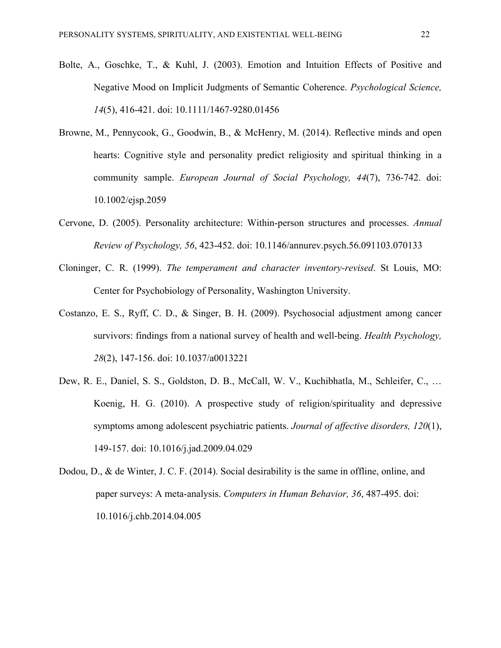- Bolte, A., Goschke, T., & Kuhl, J. (2003). Emotion and Intuition Effects of Positive and Negative Mood on Implicit Judgments of Semantic Coherence. *Psychological Science, 14*(5), 416-421. doi: 10.1111/1467-9280.01456
- Browne, M., Pennycook, G., Goodwin, B., & McHenry, M. (2014). Reflective minds and open hearts: Cognitive style and personality predict religiosity and spiritual thinking in a community sample. *European Journal of Social Psychology, 44*(7), 736-742. doi: 10.1002/ejsp.2059
- Cervone, D. (2005). Personality architecture: Within-person structures and processes. *Annual Review of Psychology, 56*, 423-452. doi: 10.1146/annurev.psych.56.091103.070133
- Cloninger, C. R. (1999). *The temperament and character inventory-revised*. St Louis, MO: Center for Psychobiology of Personality, Washington University.
- Costanzo, E. S., Ryff, C. D., & Singer, B. H. (2009). Psychosocial adjustment among cancer survivors: findings from a national survey of health and well-being. *Health Psychology, 28*(2), 147-156. doi: 10.1037/a0013221
- Dew, R. E., Daniel, S. S., Goldston, D. B., McCall, W. V., Kuchibhatla, M., Schleifer, C., … Koenig, H. G. (2010). A prospective study of religion/spirituality and depressive symptoms among adolescent psychiatric patients. *Journal of affective disorders, 120*(1), 149-157. doi: 10.1016/j.jad.2009.04.029
- Dodou, D., & de Winter, J. C. F. (2014). Social desirability is the same in offline, online, and paper surveys: A meta-analysis. *Computers in Human Behavior, 36*, 487-495. doi: 10.1016/j.chb.2014.04.005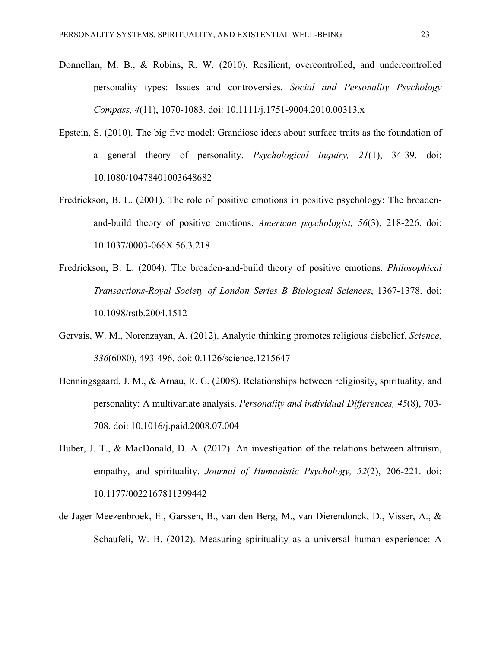- Donnellan, M. B., & Robins, R. W. (2010). Resilient, overcontrolled, and undercontrolled personality types: Issues and controversies. *Social and Personality Psychology Compass, 4*(11), 1070-1083. doi: 10.1111/j.1751-9004.2010.00313.x
- Epstein, S. (2010). The big five model: Grandiose ideas about surface traits as the foundation of a general theory of personality. *Psychological Inquiry, 21*(1), 34-39. doi: 10.1080/10478401003648682
- Fredrickson, B. L. (2001). The role of positive emotions in positive psychology: The broadenand-build theory of positive emotions. *American psychologist, 56*(3), 218-226. doi: 10.1037/0003-066X.56.3.218
- Fredrickson, B. L. (2004). The broaden-and-build theory of positive emotions. *Philosophical Transactions-Royal Society of London Series B Biological Sciences*, 1367-1378. doi: 10.1098/rstb.2004.1512
- Gervais, W. M., Norenzayan, A. (2012). Analytic thinking promotes religious disbelief. *Science, 336*(6080), 493-496. doi: 0.1126/science.1215647
- Henningsgaard, J. M., & Arnau, R. C. (2008). Relationships between religiosity, spirituality, and personality: A multivariate analysis. *Personality and individual Differences, 45*(8), 703- 708. doi: 10.1016/j.paid.2008.07.004
- Huber, J. T., & MacDonald, D. A. (2012). An investigation of the relations between altruism, empathy, and spirituality. *Journal of Humanistic Psychology, 52*(2), 206-221. doi: 10.1177/0022167811399442
- de Jager Meezenbroek, E., Garssen, B., van den Berg, M., van Dierendonck, D., Visser, A., & Schaufeli, W. B. (2012). Measuring spirituality as a universal human experience: A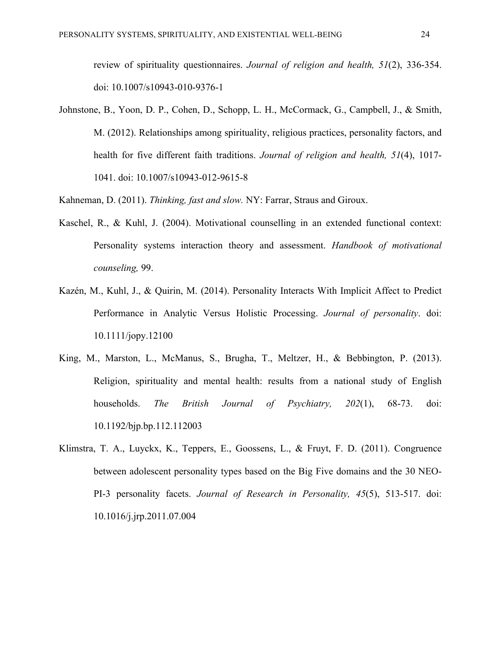review of spirituality questionnaires. *Journal of religion and health, 51*(2), 336-354. doi: 10.1007/s10943-010-9376-1

Johnstone, B., Yoon, D. P., Cohen, D., Schopp, L. H., McCormack, G., Campbell, J., & Smith, M. (2012). Relationships among spirituality, religious practices, personality factors, and health for five different faith traditions. *Journal of religion and health, 51*(4), 1017- 1041. doi: 10.1007/s10943-012-9615-8

Kahneman, D. (2011). *Thinking, fast and slow.* NY: Farrar, Straus and Giroux.

- Kaschel, R., & Kuhl, J. (2004). Motivational counselling in an extended functional context: Personality systems interaction theory and assessment. *Handbook of motivational counseling,* 99.
- Kazén, M., Kuhl, J., & Quirin, M. (2014). Personality Interacts With Implicit Affect to Predict Performance in Analytic Versus Holistic Processing. *Journal of personality*. doi: 10.1111/jopy.12100
- King, M., Marston, L., McManus, S., Brugha, T., Meltzer, H., & Bebbington, P. (2013). Religion, spirituality and mental health: results from a national study of English households. *The British Journal of Psychiatry, 202*(1), 68-73. doi: 10.1192/bjp.bp.112.112003
- Klimstra, T. A., Luyckx, K., Teppers, E., Goossens, L., & Fruyt, F. D. (2011). Congruence between adolescent personality types based on the Big Five domains and the 30 NEO-PI-3 personality facets. *Journal of Research in Personality, 45*(5), 513-517. doi: 10.1016/j.jrp.2011.07.004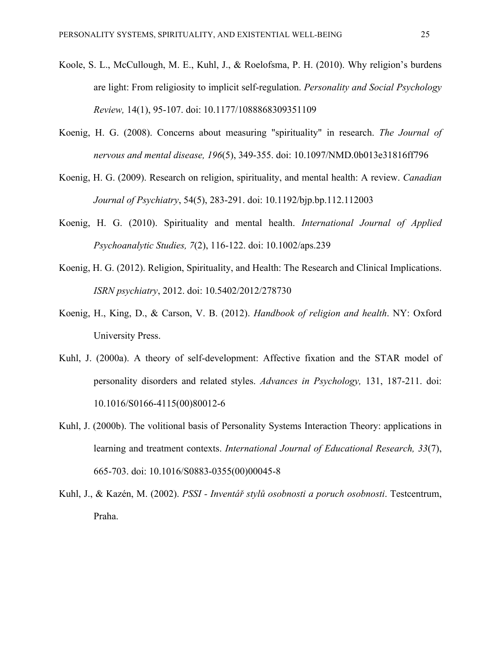- Koole, S. L., McCullough, M. E., Kuhl, J., & Roelofsma, P. H. (2010). Why religion's burdens are light: From religiosity to implicit self-regulation. *Personality and Social Psychology Review,* 14(1), 95-107. doi: 10.1177/1088868309351109
- Koenig, H. G. (2008). Concerns about measuring "spirituality" in research. *The Journal of nervous and mental disease, 196*(5), 349-355. doi: 10.1097/NMD.0b013e31816ff796
- Koenig, H. G. (2009). Research on religion, spirituality, and mental health: A review. *Canadian Journal of Psychiatry*, 54(5), 283-291. doi: 10.1192/bjp.bp.112.112003
- Koenig, H. G. (2010). Spirituality and mental health. *International Journal of Applied Psychoanalytic Studies, 7*(2), 116-122. doi: 10.1002/aps.239
- Koenig, H. G. (2012). Religion, Spirituality, and Health: The Research and Clinical Implications. *ISRN psychiatry*, 2012. doi: 10.5402/2012/278730
- Koenig, H., King, D., & Carson, V. B. (2012). *Handbook of religion and health*. NY: Oxford University Press.
- Kuhl, J. (2000a). A theory of self-development: Affective fixation and the STAR model of personality disorders and related styles. *Advances in Psychology,* 131, 187-211. doi: 10.1016/S0166-4115(00)80012-6
- Kuhl, J. (2000b). The volitional basis of Personality Systems Interaction Theory: applications in learning and treatment contexts. *International Journal of Educational Research, 33*(7), 665-703. doi: 10.1016/S0883-0355(00)00045-8
- Kuhl, J., & Kazén, M. (2002). *PSSI - Inventář stylů osobnosti a poruch osobnosti*. Testcentrum, Praha.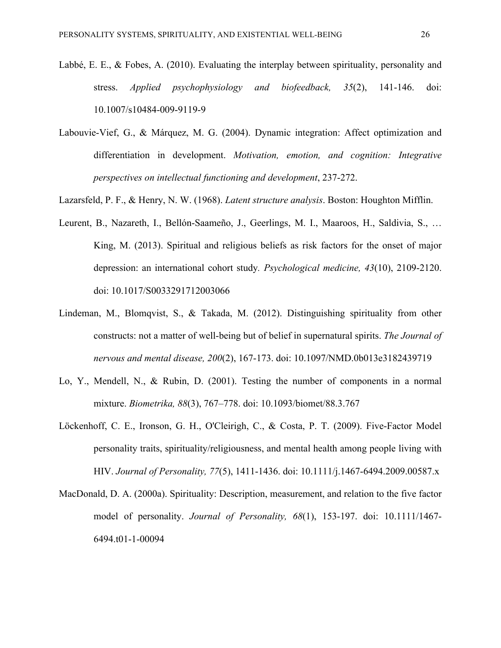- Labbé, E. E., & Fobes, A. (2010). Evaluating the interplay between spirituality, personality and stress. *Applied psychophysiology and biofeedback, 35*(2), 141-146. doi: 10.1007/s10484-009-9119-9
- Labouvie-Vief, G., & Márquez, M. G. (2004). Dynamic integration: Affect optimization and differentiation in development. *Motivation, emotion, and cognition: Integrative perspectives on intellectual functioning and development*, 237-272.
- Lazarsfeld, P. F., & Henry, N. W. (1968). *Latent structure analysis*. Boston: Houghton Mifflin.
- Leurent, B., Nazareth, I., Bellón-Saameño, J., Geerlings, M. I., Maaroos, H., Saldivia, S., … King, M. (2013). Spiritual and religious beliefs as risk factors for the onset of major depression: an international cohort study*. Psychological medicine, 43*(10), 2109-2120. doi: 10.1017/S0033291712003066
- Lindeman, M., Blomqvist, S., & Takada, M. (2012). Distinguishing spirituality from other constructs: not a matter of well-being but of belief in supernatural spirits. *The Journal of nervous and mental disease, 200*(2), 167-173. doi: 10.1097/NMD.0b013e3182439719
- Lo, Y., Mendell, N., & Rubin, D. (2001). Testing the number of components in a normal mixture. *Biometrika, 88*(3), 767–778. doi: 10.1093/biomet/88.3.767
- Löckenhoff, C. E., Ironson, G. H., O'Cleirigh, C., & Costa, P. T. (2009). Five-Factor Model personality traits, spirituality/religiousness, and mental health among people living with HIV. *Journal of Personality, 77*(5), 1411-1436. doi: 10.1111/j.1467-6494.2009.00587.x
- MacDonald, D. A. (2000a). Spirituality: Description, measurement, and relation to the five factor model of personality. *Journal of Personality, 68*(1), 153-197. doi: 10.1111/1467- 6494.t01-1-00094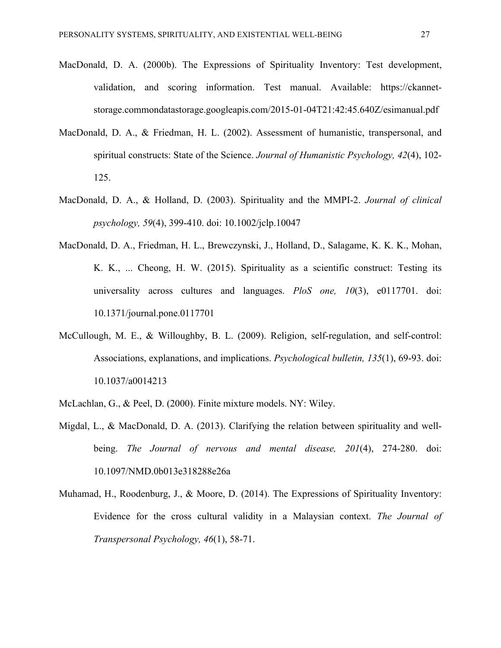- MacDonald, D. A. (2000b). The Expressions of Spirituality Inventory: Test development, validation, and scoring information. Test manual. Available: https://ckannetstorage.commondatastorage.googleapis.com/2015-01-04T21:42:45.640Z/esimanual.pdf
- MacDonald, D. A., & Friedman, H. L. (2002). Assessment of humanistic, transpersonal, and spiritual constructs: State of the Science. *Journal of Humanistic Psychology, 42*(4), 102- 125.
- MacDonald, D. A., & Holland, D. (2003). Spirituality and the MMPI-2. *Journal of clinical psychology, 59*(4), 399-410. doi: 10.1002/jclp.10047
- MacDonald, D. A., Friedman, H. L., Brewczynski, J., Holland, D., Salagame, K. K. K., Mohan, K. K., ... Cheong, H. W. (2015). Spirituality as a scientific construct: Testing its universality across cultures and languages. *PloS one, 10*(3), e0117701. doi: 10.1371/journal.pone.0117701
- McCullough, M. E., & Willoughby, B. L. (2009). Religion, self-regulation, and self-control: Associations, explanations, and implications. *Psychological bulletin, 135*(1), 69-93. doi: 10.1037/a0014213
- McLachlan, G., & Peel, D. (2000). Finite mixture models. NY: Wiley.
- Migdal, L., & MacDonald, D. A. (2013). Clarifying the relation between spirituality and wellbeing. *The Journal of nervous and mental disease, 201*(4), 274-280. doi: 10.1097/NMD.0b013e318288e26a
- Muhamad, H., Roodenburg, J., & Moore, D. (2014). The Expressions of Spirituality Inventory: Evidence for the cross cultural validity in a Malaysian context. *The Journal of Transpersonal Psychology, 46*(1), 58-71.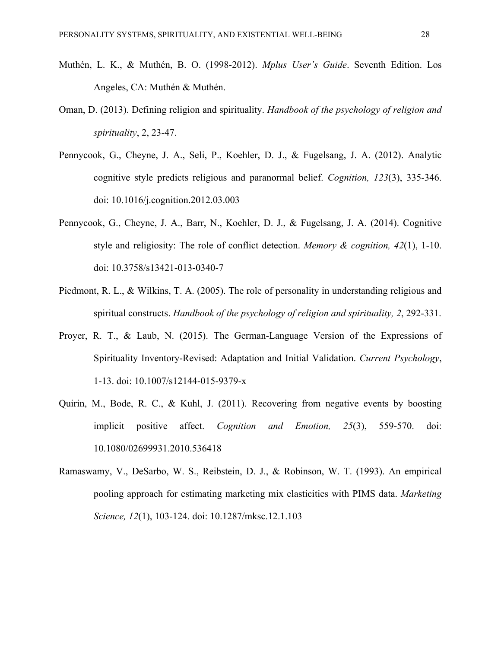- Muthén, L. K., & Muthén, B. O. (1998-2012). *Mplus User's Guide*. Seventh Edition. Los Angeles, CA: Muthén & Muthén.
- Oman, D. (2013). Defining religion and spirituality. *Handbook of the psychology of religion and spirituality*, 2, 23-47.
- Pennycook, G., Cheyne, J. A., Seli, P., Koehler, D. J., & Fugelsang, J. A. (2012). Analytic cognitive style predicts religious and paranormal belief. *Cognition, 123*(3), 335-346. doi: 10.1016/j.cognition.2012.03.003
- Pennycook, G., Cheyne, J. A., Barr, N., Koehler, D. J., & Fugelsang, J. A. (2014). Cognitive style and religiosity: The role of conflict detection. *Memory & cognition, 42*(1), 1-10. doi: 10.3758/s13421-013-0340-7
- Piedmont, R. L., & Wilkins, T. A. (2005). The role of personality in understanding religious and spiritual constructs. *Handbook of the psychology of religion and spirituality, 2*, 292-331.
- Proyer, R. T., & Laub, N. (2015). The German-Language Version of the Expressions of Spirituality Inventory-Revised: Adaptation and Initial Validation. *Current Psychology*, 1-13. doi: 10.1007/s12144-015-9379-x
- Quirin, M., Bode, R. C., & Kuhl, J. (2011). Recovering from negative events by boosting implicit positive affect. *Cognition and Emotion, 25*(3), 559-570. doi: 10.1080/02699931.2010.536418
- Ramaswamy, V., DeSarbo, W. S., Reibstein, D. J., & Robinson, W. T. (1993). An empirical pooling approach for estimating marketing mix elasticities with PIMS data. *Marketing Science, 12*(1), 103-124. doi: 10.1287/mksc.12.1.103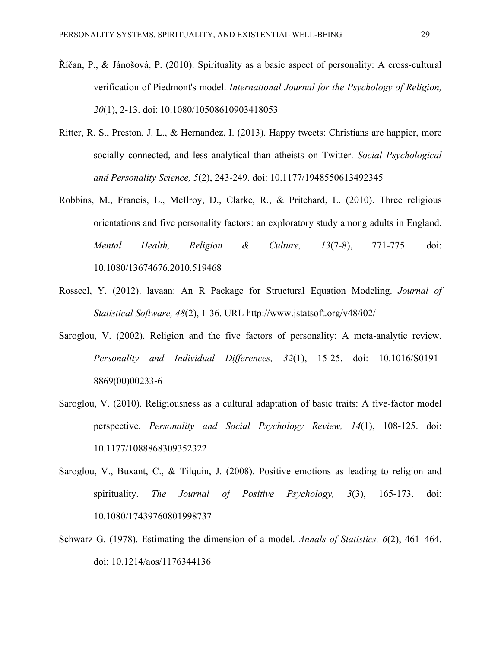- Říčan, P., & Jánošová, P. (2010). Spirituality as a basic aspect of personality: A cross-cultural verification of Piedmont's model. *International Journal for the Psychology of Religion, 20*(1), 2-13. doi: 10.1080/10508610903418053
- Ritter, R. S., Preston, J. L., & Hernandez, I. (2013). Happy tweets: Christians are happier, more socially connected, and less analytical than atheists on Twitter. *Social Psychological and Personality Science, 5*(2), 243-249. doi: 10.1177/1948550613492345
- Robbins, M., Francis, L., McIlroy, D., Clarke, R., & Pritchard, L. (2010). Three religious orientations and five personality factors: an exploratory study among adults in England. *Mental Health, Religion & Culture, 13*(7-8), 771-775. doi: 10.1080/13674676.2010.519468
- Rosseel, Y. (2012). lavaan: An R Package for Structural Equation Modeling. *Journal of Statistical Software, 48*(2), 1-36. URL http://www.jstatsoft.org/v48/i02/
- Saroglou, V. (2002). Religion and the five factors of personality: A meta-analytic review. *Personality and Individual Differences, 32*(1), 15-25. doi: 10.1016/S0191- 8869(00)00233-6
- Saroglou, V. (2010). Religiousness as a cultural adaptation of basic traits: A five-factor model perspective. *Personality and Social Psychology Review, 14*(1), 108-125. doi: 10.1177/1088868309352322
- Saroglou, V., Buxant, C., & Tilquin, J. (2008). Positive emotions as leading to religion and spirituality. *The Journal of Positive Psychology, 3*(3), 165-173. doi: 10.1080/17439760801998737
- Schwarz G. (1978). Estimating the dimension of a model. *Annals of Statistics, 6*(2), 461–464. doi: 10.1214/aos/1176344136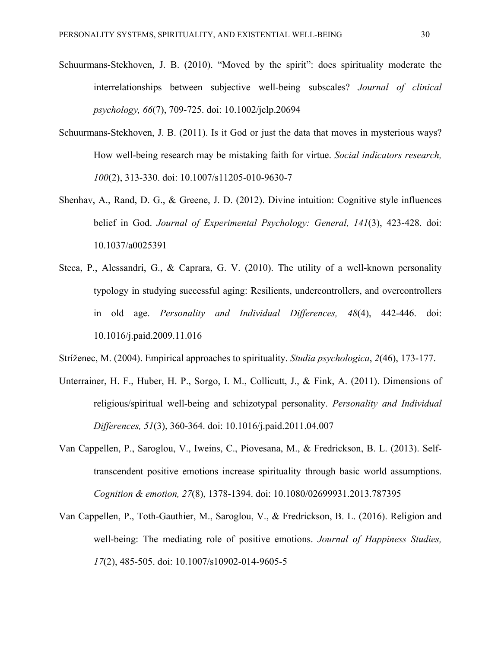- Schuurmans-Stekhoven, J. B. (2010). "Moved by the spirit": does spirituality moderate the interrelationships between subjective well-being subscales? *Journal of clinical psychology, 66*(7), 709-725. doi: 10.1002/jclp.20694
- Schuurmans-Stekhoven, J. B. (2011). Is it God or just the data that moves in mysterious ways? How well-being research may be mistaking faith for virtue. *Social indicators research, 100*(2), 313-330. doi: 10.1007/s11205-010-9630-7
- Shenhav, A., Rand, D. G., & Greene, J. D. (2012). Divine intuition: Cognitive style influences belief in God. *Journal of Experimental Psychology: General, 141*(3), 423-428. doi: 10.1037/a0025391
- Steca, P., Alessandri, G., & Caprara, G. V. (2010). The utility of a well-known personality typology in studying successful aging: Resilients, undercontrollers, and overcontrollers in old age. *Personality and Individual Differences, 48*(4), 442-446. doi: 10.1016/j.paid.2009.11.016

Stríženec, M. (2004). Empirical approaches to spirituality. *Studia psychologica*, *2*(46), 173-177.

- Unterrainer, H. F., Huber, H. P., Sorgo, I. M., Collicutt, J., & Fink, A. (2011). Dimensions of religious/spiritual well-being and schizotypal personality. *Personality and Individual Differences, 51*(3), 360-364. doi: 10.1016/j.paid.2011.04.007
- Van Cappellen, P., Saroglou, V., Iweins, C., Piovesana, M., & Fredrickson, B. L. (2013). Selftranscendent positive emotions increase spirituality through basic world assumptions. *Cognition & emotion, 27*(8), 1378-1394. doi: 10.1080/02699931.2013.787395
- Van Cappellen, P., Toth-Gauthier, M., Saroglou, V., & Fredrickson, B. L. (2016). Religion and well-being: The mediating role of positive emotions. *Journal of Happiness Studies, 17*(2), 485-505. doi: 10.1007/s10902-014-9605-5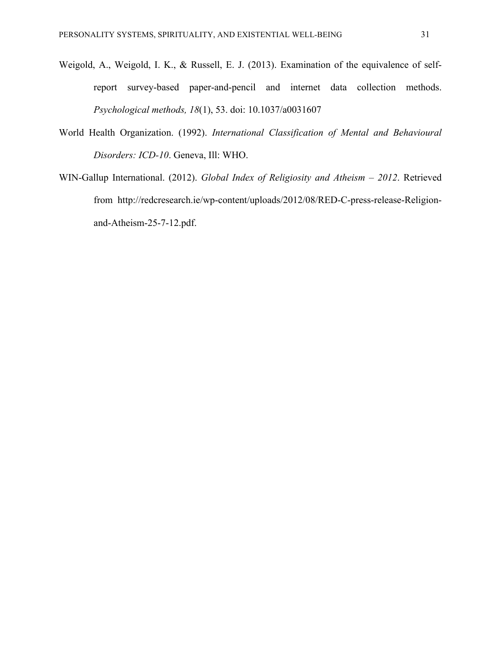- Weigold, A., Weigold, I. K., & Russell, E. J. (2013). Examination of the equivalence of selfreport survey-based paper-and-pencil and internet data collection methods. *Psychological methods, 18*(1), 53. doi: 10.1037/a0031607
- World Health Organization. (1992). *International Classification of Mental and Behavioural Disorders: ICD-10*. Geneva, Ill: WHO.
- WIN-Gallup International. (2012). *Global Index of Religiosity and Atheism – 2012*. Retrieved from http://redcresearch.ie/wp-content/uploads/2012/08/RED-C-press-release-Religionand-Atheism-25-7-12.pdf.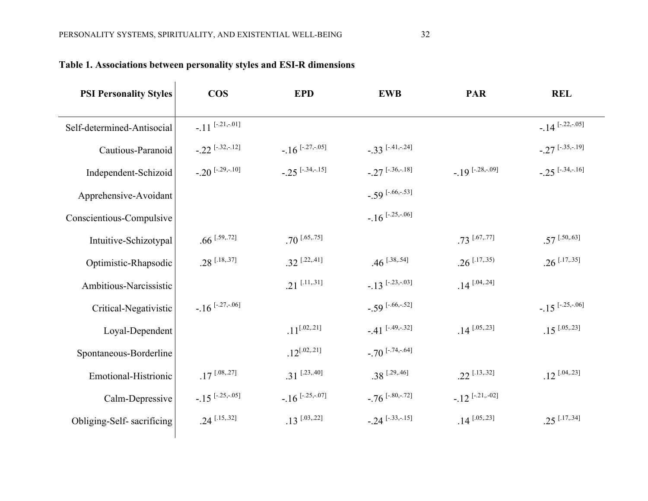| <b>PSI Personality Styles</b> | <b>COS</b>                    | <b>EPD</b>                   | <b>EWB</b>                     | <b>PAR</b>                  | <b>REL</b>                   |
|-------------------------------|-------------------------------|------------------------------|--------------------------------|-----------------------------|------------------------------|
| Self-determined-Antisocial    | $-.11$ $[-.21,-.01]$          |                              |                                |                             | $-14$ [-.22,-.05]            |
| Cautious-Paranoid             | $-22$ [-.32,-.12]             | $-16$ <sup>[-.27,-.05]</sup> | $-0.33$ [-.41,-.24]            |                             | $-27$ [-.35,-.19]            |
| Independent-Schizoid          | $-.20$ <sup>[-.29,-.10]</sup> | $-25$ <sup>[-.34,-.15]</sup> | $-27$ <sup>[-.36,-.18]</sup>   | $-19$ [-.28,-.09]           | $-25$ <sup>[-.34,-.16]</sup> |
| Apprehensive-Avoidant         |                               |                              | $-.59$ [-.66,-.53]             |                             |                              |
| Conscientious-Compulsive      |                               |                              | $-16$ <sup>[-.25,-.06]</sup>   |                             |                              |
| Intuitive-Schizotypal         | $.66$ <sup>[.59,.72]</sup>    | $.70$ <sup>[.65,.75]</sup>   |                                | $.73$ [.67,.77]             | $.57$ <sup>[.50,.63]</sup>   |
| Optimistic-Rhapsodic          | $.28$ [.18,.37]               | $.32$ <sup>[.22,.41]</sup>   | $.46$ <sup>[.38,.54]</sup>     | $.26$ <sup>[.17,.35]</sup>  | $.26$ <sup>[.17,.35]</sup>   |
| Ambitious-Narcissistic        |                               | $.21$ <sup>[.11,.31]</sup>   | $-13$ <sup>[-.23,-.03]</sup>   | $.14$ <sup>[.04,.24]</sup>  |                              |
| Critical-Negativistic         | $-.16$ <sup>[-.27,-.06]</sup> |                              | $-.59$ [-.66,-.52]             |                             | $-15$ <sup>[-.25,-.06]</sup> |
| Loyal-Dependent               |                               | $.11^{[.02,.21]}$            | $-41$ <sup>[-.49,-.32]</sup>   | $.14$ [.05,.23]             | $.15$ <sup>[.05,.23]</sup>   |
| Spontaneous-Borderline        |                               | $.12^{[.02,.21]}$            | $-70$ <sup>[-.74,-.64]</sup>   |                             |                              |
| Emotional-Histrionic          | $.17$ [.08,.27]               | $.31$ <sup>[.23,.40]</sup>   | $.38$ <sup>[.29,.46]</sup>     | $.22$ <sup>[.13,.32]</sup>  | $.12$ [.04,.23]              |
| Calm-Depressive               | $-.15$ <sup>[-.25,-.05]</sup> | $-16$ <sup>[-.25,-.07]</sup> | $-76$ <sup>[-.80,-.72]</sup>   | $-12$ <sup>[-.21,-02]</sup> |                              |
| Obliging-Self-sacrificing     | $.24$ <sup>[.15,.32]</sup>    | $.13$ [.03,.22]              | $-0.24$ <sup>[-.33,-.15]</sup> | $.14$ [.05,.23]             | $.25$ <sup>[.17,.34]</sup>   |
|                               |                               |                              |                                |                             |                              |

# **Table 1. Associations between personality styles and ESI-R dimensions**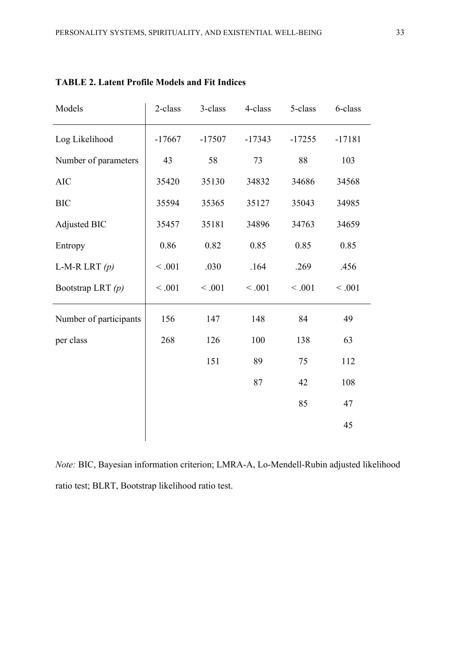| Models                 | 2-class  | 3-class  | 4-class  | 5-class  | 6-class  |
|------------------------|----------|----------|----------|----------|----------|
| Log Likelihood         | $-17667$ | $-17507$ | $-17343$ | $-17255$ | $-17181$ |
| Number of parameters   | 43       | 58       | 73       | 88       | 103      |
| <b>AIC</b>             | 35420    | 35130    | 34832    | 34686    | 34568    |
| <b>BIC</b>             | 35594    | 35365    | 35127    | 35043    | 34985    |
| Adjusted BIC           | 35457    | 35181    | 34896    | 34763    | 34659    |
| Entropy                | 0.86     | 0.82     | 0.85     | 0.85     | 0.85     |
| L-M-R LRT $(p)$        | < 0.001  | .030     | .164     | .269     | .456     |
| Bootstrap LRT (p)      | < 0.001  | < 0.001  | < 0.001  | < 0.001  | < 0.001  |
| Number of participants | 156      | 147      | 148      | 84       | 49       |
| per class              | 268      | 126      | 100      | 138      | 63       |
|                        |          | 151      | 89       | 75       | 112      |
|                        |          |          | 87       | 42       | 108      |
|                        |          |          |          | 85       | 47       |
|                        |          |          |          |          | 45       |
|                        |          |          |          |          |          |

**TABLE 2. Latent Profile Models and Fit Indices**

*Note:* BIC, Bayesian information criterion; LMRA-A, Lo-Mendell-Rubin adjusted likelihood ratio test; BLRT, Bootstrap likelihood ratio test.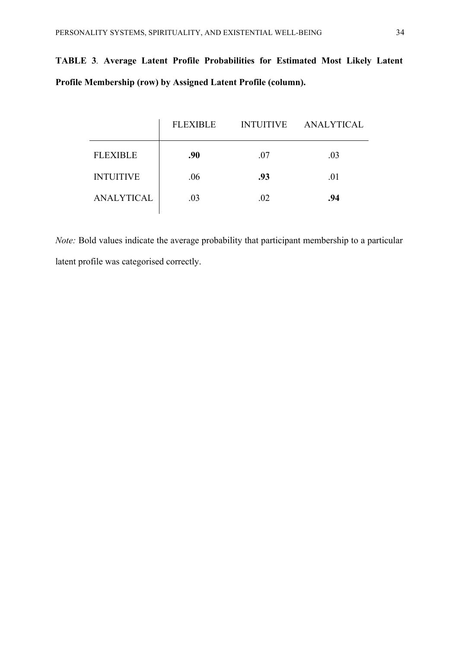# **TABLE 3***.* **Average Latent Profile Probabilities for Estimated Most Likely Latent Profile Membership (row) by Assigned Latent Profile (column).**

|                   | <b>FLEXIBLE</b> | <b>INTUITIVE</b> | <b>ANALYTICAL</b> |
|-------------------|-----------------|------------------|-------------------|
| <b>FLEXIBLE</b>   | .90             | .07              | .03               |
| <b>INTUITIVE</b>  | .06             | .93              | .01               |
| <b>ANALYTICAL</b> | .03             | .02              | .94               |
|                   |                 |                  |                   |

*Note:* Bold values indicate the average probability that participant membership to a particular latent profile was categorised correctly.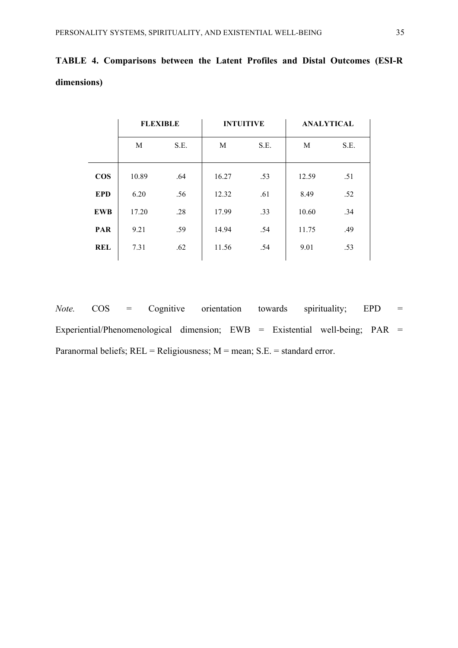|            | <b>FLEXIBLE</b> |      | <b>INTUITIVE</b> |      | <b>ANALYTICAL</b> |      |
|------------|-----------------|------|------------------|------|-------------------|------|
|            | M               | S.E. | M                | S.E. | M                 | S.E. |
| <b>COS</b> | 10.89           | .64  | 16.27            | .53  | 12.59             | .51  |
| <b>EPD</b> | 6.20            | .56  | 12.32            | .61  | 8.49              | .52  |
| <b>EWB</b> | 17.20           | .28  | 17.99            | .33  | 10.60             | .34  |
| <b>PAR</b> | 9.21            | .59  | 14.94            | .54  | 11.75             | .49  |
| <b>REL</b> | 7.31            | .62  | 11.56            | .54  | 9.01              | .53  |
|            |                 |      |                  |      |                   |      |

**TABLE 4. Comparisons between the Latent Profiles and Distal Outcomes (ESI-R dimensions)**

*Note.* COS = Cognitive orientation towards spirituality; EPD = Experiential/Phenomenological dimension; EWB = Existential well-being; PAR = Paranormal beliefs; REL = Religiousness; M = mean; S.E. = standard error.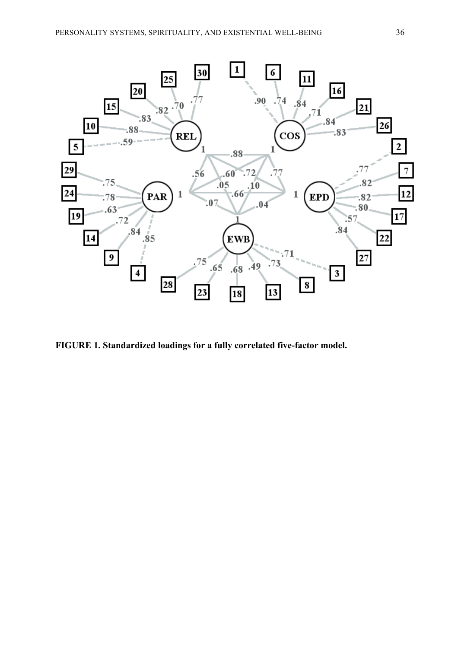

**FIGURE 1. Standardized loadings for a fully correlated five-factor model.**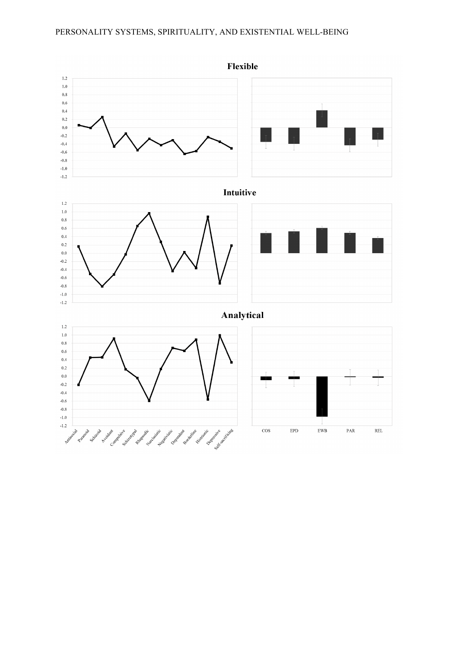## PERSONALITY SYSTEMS, SPIRITUALITY, AND EXISTENTIAL WELL-BEING



Flexible